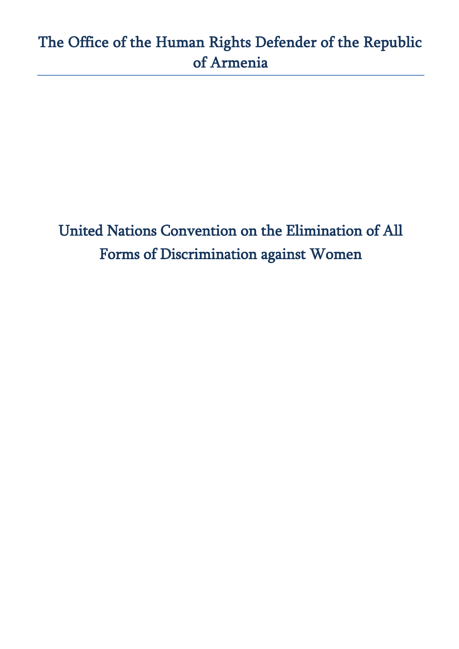United Nations Convention on the Elimination of All Forms of Discrimination against Women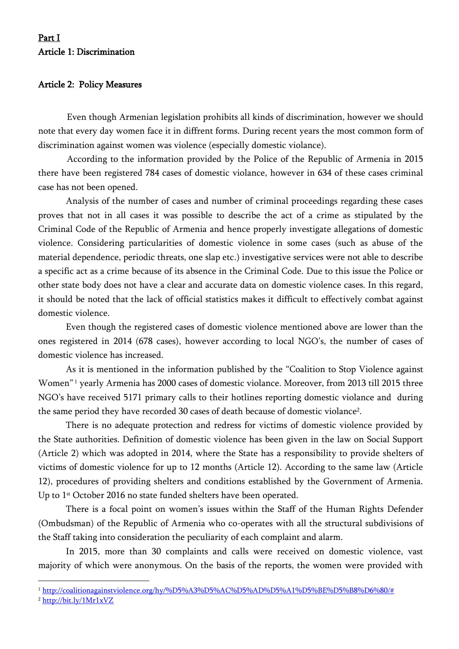# Part I Article 1: Discrimination

### Article 2: Policy Measures

Even though Armenian legislation prohibits all kinds of discrimination, however we should note that every day women face it in diffrent forms. During recent years the most common form of discrimination against women was violence (especially domestic violance).

According to the information provided by the Police of the Republic of Armenia in 2015 there have been registered 784 cases of domestic violance, however in 634 of these cases criminal case has not been opened.

Analysis of the number of cases and number of criminal proceedings regarding these cases proves that not in all cases it was possible to describe the act of a crime as stipulated by the Criminal Code of the Republic of Armenia and hence properly investigate allegations of domestic violence. Considering particularities of domestic violence in some cases (such as abuse of the material dependence, periodic threats, one slap etc.) investigative services were not able to describe a specific act as a crime because of its absence in the Criminal Code. Due to this issue the Police or other state body does not have a clear and accurate data on domestic violence cases. In this regard, it should be noted that the lack of official statistics makes it difficult to effectively combat against domestic violence.

Even though the registered cases of domestic violence mentioned above are lower than the ones registered in 2014 (678 cases), however according to local NGO's, the number of cases of domestic violence has increased.

As it is mentioned in the information published by the "Coalition to Stop Violence against Women" <sup>1</sup> yearly Armenia has 2000 cases of domestic violance. Moreover, from 2013 till 2015 three NGO's have received 5171 primary calls to their hotlines reporting domestic violance and during the same period they have recorded 30 cases of death because of domestic violance<sup>2</sup>.

There is no adequate protection and redress for victims of domestic violence provided by the State authorities. Definition of domestic violence has been given in the law on Social Support (Article 2) which was adopted in 2014, where the State has a responsibility to provide shelters of victims of domestic violence for up to 12 months (Article 12). According to the same law (Article 12), procedures of providing shelters and conditions established by the Government of Armenia. Up to 1<sup>st</sup> October 2016 no state funded shelters have been operated.

There is a focal point on women's issues within the Staff of the Human Rights Defender (Ombudsman) of the Republic of Armenia who co-operates with all the structural subdivisions of the Staff taking into consideration the peculiarity of each complaint and alarm.

In 2015, more than 30 complaints and calls were received on domestic violence, vast majority of which were anonymous. On the basis of the reports, the women were provided with

<sup>2</sup> <http://bit.ly/1Mr1xVZ>

 $\overline{\phantom{a}}$ 

<sup>&</sup>lt;sup>1</sup> [http://coalitionagainstviolence.org/hy/%D5%A3%D5%AC%D5%AD%D5%A1%D5%BE%D5%B8%D6%80/#](http://coalitionagainstviolence.org/hy/%D5%A3%D5%AC%D5%AD%D5%A1%D5%BE%D5%B8%D6%80/)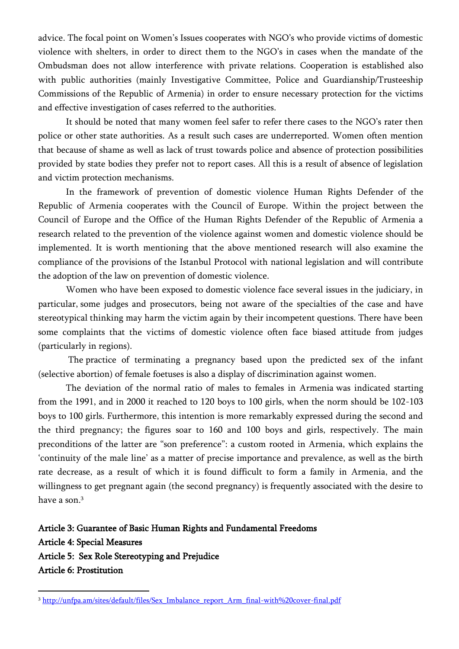advice. The focal point on Women's Issues cooperates with NGO's who provide victims of domestic violence with shelters, in order to direct them to the NGO's in cases when the mandate of the Ombudsman does not allow interference with private relations. Cooperation is established also with public authorities (mainly Investigative Committee, Police and Guardianship/Trusteeship Commissions of the Republic of Armenia) in order to ensure necessary protection for the victims and effective investigation of cases referred to the authorities.

It should be noted that many women feel safer to refer there cases to the NGO's rater then police or other state authorities. As a result such cases are underreported. Women often mention that because of shame as well as lack of trust towards police and absence of protection possibilities provided by state bodies they prefer not to report cases. All this is a result of absence of legislation and victim protection mechanisms.

In the framework of prevention of domestic violence Human Rights Defender of the Republic of Armenia cooperates with the Council of Europe. Within the project between the Council of Europe and the Office of the Human Rights Defender of the Republic of Armenia a research related to the prevention of the violence against women and domestic violence should be implemented. It is worth mentioning that the above mentioned research will also examine the compliance of the provisions of the Istanbul Protocol with national legislation and will contribute the adoption of the law on prevention of domestic violence.

Women who have been exposed to domestic violence face several issues in the judiciary, in particular, some judges and prosecutors, being not aware of the specialties of the case and have stereotypical thinking may harm the victim again by their incompetent questions. There have been some complaints that the victims of domestic violence often face biased attitude from judges (particularly in regions).

The practice of terminating a pregnancy based upon the predicted sex of the infant (selective [abortion\)](https://en.wikipedia.org/wiki/Abortion) of female foetuses is also a display of discrimination against women.

The deviation of the normal ratio of males to females in Armenia was indicated starting from the 1991, and in 2000 it reached to 120 boys to 100 girls, when the norm should be 102-103 boys to 100 girls. Furthermore, this intention is more remarkably expressed during the second and the third pregnancy; the figures soar to 160 and 100 boys and girls, respectively. The main preconditions of the latter are "son preference": a custom rooted in Armenia, which explains the 'continuity of the male line' as a matter of precise importance and prevalence, as well as the birth rate decrease, as a result of which it is found difficult to form a family in Armenia, and the willingness to get pregnant again (the second pregnancy) is frequently associated with the desire to have a son. 3

Article 3: Guarantee of Basic Human Rights and Fundamental Freedoms Article 4: Special Measures Article 5: Sex Role Stereotyping and Prejudice Article 6: Prostitution

 $\overline{a}$ 

<sup>&</sup>lt;sup>3</sup> [http://unfpa.am/sites/default/files/Sex\\_Imbalance\\_report\\_Arm\\_final-with%20cover-final.pdf](http://unfpa.am/sites/default/files/Sex_Imbalance_report_Arm_final-with%20cover-final.pdf)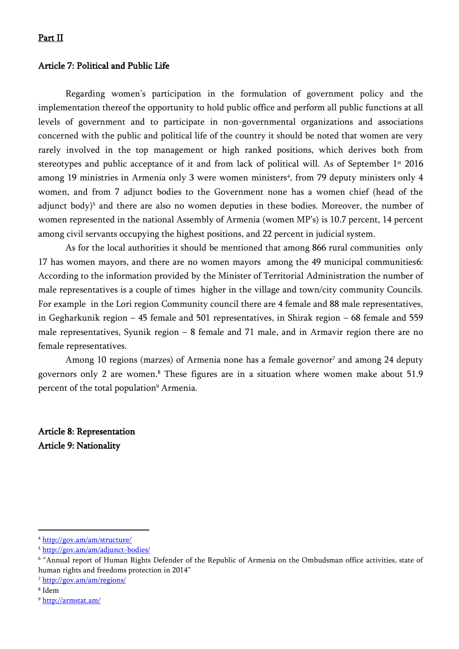### Part II

#### Article 7: Political and Public Life

Regarding women's participation in the formulation of government policy and the implementation thereof the opportunity to hold public office and perform all public functions at all levels of government and to participate in non-governmental organizations and associations concerned with the public and political life of the country it should be noted that women are very rarely involved in the top management or high ranked positions, which derives both from stereotypes and public acceptance of it and from lack of political will. As of September  $1<sup>st</sup>$  2016 among 19 ministries in Armenia only 3 were women ministers<sup>4</sup>, from 79 deputy ministers only 4 women, and from 7 adjunct bodies to the Government none has a women chief (head of the adjunct body)<sup>5</sup> and there are also no women deputies in these bodies. Moreover, the number of women represented in the national Assembly of Armenia (women MP's) is 10.7 percent, 14 percent among civil servants occupying the highest positions, and 22 percent in judicial system.

As for the local authorities it should be mentioned that among 866 rural communities only 17 has women mayors, and there are no women mayors among the 49 municipal communities6: According to the information provided by the Minister of Territorial Administration the number of male representatives is a couple of times higher in the village and town/city community Councils. For example in the Lori region Community council there are 4 female and 88 male representatives, in Gegharkunik region – 45 female and 501 representatives, in Shirak region – 68 female and 559 male representatives, Syunik region – 8 female and 71 male, and in Armavir region there are no female representatives.

Among 10 regions (marzes) of Armenia none has a female governor<sup>7</sup> and among 24 deputy governors only 2 are women.<sup>8</sup> These figures are in a situation where women make about 51.9 percent of the total population<sup>9</sup> Armenia.

Article 8: Representation Article 9: Nationality

 $\overline{a}$ 

<sup>4</sup> <http://gov.am/am/structure/>

<sup>5</sup> <http://gov.am/am/adjunct-bodies/>

<sup>6</sup> "Annual report of Human Rights Defender of the Republic of Armenia on the Ombudsman office activities, state of human rights and freedoms protection in 2014"

<sup>7</sup> <http://gov.am/am/regions/>

<sup>8</sup> Idem

<sup>9</sup> [http://armstat.am/](http://armstat.am/file/doc/99478213.pdf)